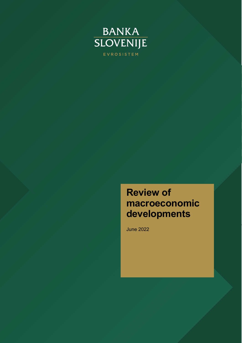

# **Review of macroeconomic developments**

June 2022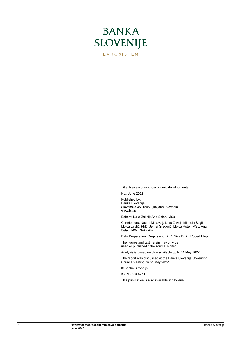

Title: Review of macroeconomic developments

No.: June 2022

Published by: Banka Slovenije Slovenska 35, 1505 Ljubljana, Slovenia www.bsi.si

Editors: Luka Žakelj; Ana Selan, MSc

Contributors: Noemi Matavulj; Luka Žakelj; Mihaela Štiglic; Mojca Lindič, PhD; Jernej Gregorič; Mojca Roter, MSc; Ana Selan, MSc; Neža Ahčin.

Data Preparation, Graphs and DTP: Nika Brzin; Robert Hlep.

The figures and text herein may only be used or published if the source is cited.

Analysis is based on data available up to 31 May 2022.

The report was discussed at the Banka Slovenije Governing Council meeting on 31 May 2022.

© Banka Slovenije

ISSN 2820-4751

This publication is also available in Slovene.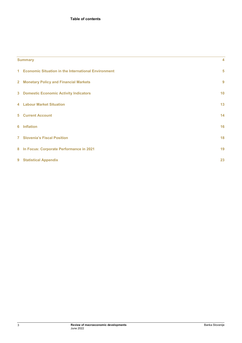| <b>Summary</b> |  |  |
|----------------|--|--|
|                |  |  |

|   | 1 Economic Situation in the International Environment | 5  |
|---|-------------------------------------------------------|----|
|   | 2 Monetary Policy and Financial Markets               | 9  |
|   | <b>3</b> Domestic Economic Activity Indicators        | 10 |
|   | <b>4 Labour Market Situation</b>                      | 13 |
|   | <b>5</b> Current Account                              | 14 |
| 6 | <b>Inflation</b>                                      | 16 |
|   | <b>7</b> Slovenia's Fiscal Position                   | 18 |
|   | 8 In Focus: Corporate Performance in 2021             | 19 |
|   | 9 Statistical Appendix                                | 23 |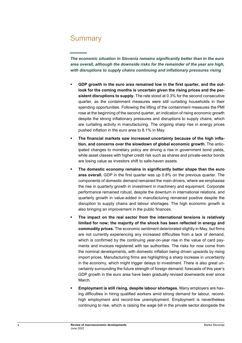## <span id="page-3-0"></span>**Summary**

*The economic situation in Slovenia remains significantly better than in the euro area overall, although the downside risks for the remainder of the year are high, with disruptions to supply chains continuing and inflationary pressures rising*

- **GDP growth in the euro area remained low in the first quarter, and the outlook for the coming months is uncertain given the rising prices and the persistent disruptions to supply.** The rate stood at 0.3% for the second consecutive quarter, as the containment measures were still curtailing households in their spending opportunities. Following the lifting of the containment measures the PMI rose at the beginning of the second quarter, an indication of rising economic growth despite the strong inflationary pressures and disruptions to supply chains, which are curtailing activity in manufacturing. The ongoing sharp rise in energy prices pushed inflation in the euro area to 8.1% in May.
- **The financial markets saw increased uncertainty because of the high inflation, and concerns over the slowdown of global economic growth.** The anticipated changes to monetary policy are driving a rise in government bond yields, while asset classes with higher credit risk such as shares and private-sector bonds are losing value as investors shift to safe-haven assets.
- **The domestic economy remains in significantly better shape than the euro area overall.** GDP in the first quarter was up 0.8% on the previous quarter. The components of domestic demand remained the main drivers, where we emphasise the rise in quarterly growth in investment in machinery and equipment. Corporate performance remained robust, despite the downturn in international relations, and quarterly growth in value-added in manufacturing remained positive despite the disruption to supply chains and labour shortages. The high economic growth is also bringing an improvement in the public finances.
- **The impact on the real sector from the international tensions is relatively limited for now; the majority of the shock has been reflected in energy and commodity prices.** The economic sentiment deteriorated slightly in May, but firms are not currently experiencing any increased difficulties from a lack of demand, which is confirmed by the continuing year-on-year rise in the value of card payments and invoices registered with tax authorities. The risks for now come from the nominal developments, with domestic inflation being driven upwards by rising import prices. Manufacturing firms are highlighting a sharp increase in uncertainty in the economy, which might trigger delays to investment. There is also great uncertainty surrounding the future strength of foreign demand: forecasts of this year's GDP growth in the euro area have been gradually revised downwards ever since March.
- **Employment is still rising, despite labour shortages.** Many employers are having difficulties in hiring qualified workers amid strong demand for labour, recordhigh employment and record-low unemployment. Employment is nevertheless continuing to rise, which is raising the wage bill in the private sector alongside the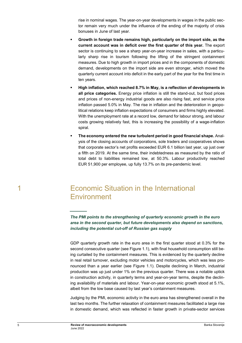rise in nominal wages. The year-on-year developments in wages in the public sector remain very much under the influence of the ending of the majority of crisis bonuses in June of last year.

- **Growth in foreign trade remains high, particularly on the import side, as the current account was in deficit over the first quarter of this year.** The export sector is continuing to see a sharp year-on-year increase in sales, with a particularly sharp rise in tourism following the lifting of the stringent containment measures. Due to high growth in import prices and in the components of domestic demand, developments on the import side are even stronger, which moved the quarterly current account into deficit in the early part of the year for the first time in ten years.
- **High inflation, which reached 8.7% in May, is a reflection of developments in all price categories.** Energy price inflation is still the stand-out, but food prices and prices of non-energy industrial goods are also rising fast, and service price inflation passed 5.0% in May. The rise in inflation and the deterioration in geopolitical relations keep inflation expectations of consumers and firms highly elevated. With the unemployment rate at a record low, demand for labour strong, and labour costs growing relatively fast, this is increasing the possibility of a wage-inflation spiral.
- **The economy entered the new turbulent period in good financial shape.** Analysis of the closing accounts of corporations, sole traders and cooperatives shows that corporate sector's net profits exceeded EUR 6.1 billion last year, up just over a fifth on 2019. At the same time, their indebtedness as measured by the ratio of total debt to liabilities remained low, at 50.3%. Labour productivity reached EUR 51,900 per employee, up fully 13.7% on its pre-pandemic level.

## <span id="page-4-0"></span>1 Economic Situation in the International **Environment**

*The PMI points to the strengthening of quarterly economic growth in the euro area in the second quarter, but future developments also depend on sanctions, including the potential cut-off of Russian gas supply*

GDP quarterly growth rate in the euro area in the first quarter stood at 0.3% for the second consecutive quarter (see Figure 1.1), with final household consumption still being curtailed by the containment measures. This is evidenced by the quarterly decline in real retail turnover, excluding motor vehicles and motorcycles, which was less pronounced than a year earlier (see Figure 1.1). Despite declining in March, industrial production was up just under 1% on the previous quarter. There was a notable uptick in construction activity, in quarterly terms and year-on-year terms, despite the declining availability of materials and labour. Year-on-year economic growth stood at 5.1%, albeit from the low base caused by last year's containment measures.

Judging by the PMI, economic activity in the euro area has strengthened overall in the last two months. The further relaxation of containment measures facilitated a large rise in domestic demand, which was reflected in faster growth in private-sector services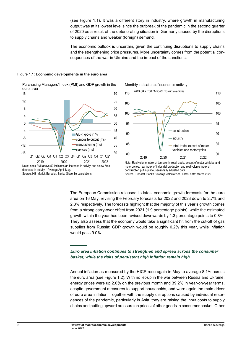(see Figure 1.1). It was a different story in industry, where growth in manufacturing output was at its lowest level since the outbreak of the pandemic in the second quarter of 2020 as a result of the deteriorating situation in Germany caused by the disruptions to supply chains and weaker (foreign) demand.

The economic outlook is uncertain, given the continuing disruptions to supply chains and the strengthening price pressures. More uncertainty comes from the potential consequences of the war in Ukraine and the impact of the sanctions.

## Figure 1.1: **Economic developments in the euro area**







motorcycles, real index of industrial production and real volume index of construction put in place, seasonally adjusted data. Source: Eurostat, Banka Slovenije calculations. Latest data: March 2022.

The European Commission released its latest economic growth forecasts for the euro area on 16 May, revising the February forecasts for 2022 and 2023 down to 2.7% and 2.3% respectively. The forecasts highlight that the majority of this year's growth comes from a strong carry-over effect from 2021 (1.9 percentage points), while the estimated growth within the year has been revised downwards by 1.3 percentage points to 0.8%. They also assess that the economy would take a significant hit from the cut-off of gas supplies from Russia: GDP growth would be roughly 0.2% this year, while inflation would pass 9.0%.

## *Euro area inflation continues to strengthen and spread across the consumer basket, while the risks of persistent high inflation remain high*

Annual inflation as measured by the HICP rose again in May to average 8.1% across the euro area (see Figure 1.2). With no let-up in the war between Russia and Ukraine, energy prices were up 2.0% on the previous month and 39.2% in year-on-year terms, despite government measures to support households, and were again the main driver of euro area inflation. Together with the supply disruptions caused by individual resurgences of the pandemic, particularly in Asia, they are raising the input costs to supply chains and putting upward pressure on prices of other goods in consumer basket. Other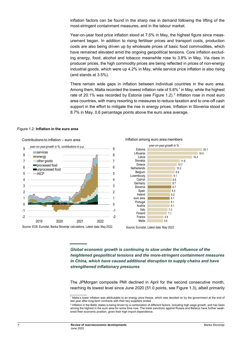inflation factors can be found in the sharp rise in demand following the lifting of the most-stringent containment measures, and in the labour market.

Year-on-year food price inflation stood at 7.5% in May, the highest figure since measurement began. In addition to rising fertiliser prices and transport costs, production costs are also being driven up by wholesale prices of basic food commodities, which have remained elevated amid the ongoing geopolitical tensions. Core inflation excluding energy, food, alcohol and tobacco meanwhile rose to 3.8% in May. Via rises in producer prices, the high commodity prices are being reflected in prices of non-energy industrial goods, which were up 4.2% in May, while service price inflation is also rising (and stands at 3.5%).

There remain wide gaps in inflation between individual countries in the euro area. Among them, Malta recorded the lowest inflation rate of  $5.6\%$ <sup>[1](#page-6-0)</sup> in May, while the highest rate of [2](#page-6-1)0.1% was recorded by Estonia (see Figure 1.2).<sup>2</sup> Inflation rose in most euro area countries, with many resorting to measures to reduce taxation and to one-off cash support in the effort to mitigate the rise in energy prices. Inflation in Slovenia stood at 8.7% in May, 0.6 percentage points above the euro area average.

#### Figure 1.2: **Inflation in the euro area**





Inflation among euro area members

Source: Eurostat. Latest data: May 2022.

*Global economic growth is continuing to slow under the influence of the heightened geopolitical tensions and the more-stringent containment measures in China, which have caused additional disruption to supply chains and have strengthened inflationary pressures*

The JPMorgan composite PMI declined in April for the second consecutive month, reaching its lowest level since June 2020 (51.0 points, see Figure 1.3), albeit primarily

<span id="page-6-0"></span><sup>1</sup> Malta's lower inflation was attributable to an energy price freeze, which was decided on by the government at the end of last year after long-term contracts with their key suppliers ended.

<span id="page-6-1"></span><sup>&</sup>lt;sup>2</sup> Inflation in the Baltic states is being driven by a combination of different factors, including high wage growth, and has been among the highest in the euro area for some time now. The trade sanctions against Russia and Belarus have further weakened their economic position, given their high import dependence.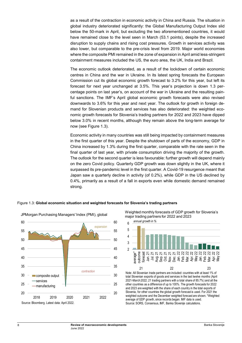as a result of the contraction in economic activity in China and Russia. The situation in global industry deteriorated significantly: the Global Manufacturing Output Index slid below the 50-mark in April, but excluding the two aforementioned countries, it would have remained close to the level seen in March (53.1 points), despite the increased disruption to supply chains and rising cost pressures. Growth in services activity was also lower, but comparable to the pre-crisis level from 2019. Major world economies where the composite PMI remained in the zone of expansion in April amid less-stringent containment measures included the US, the euro area, the UK, India and Brazil.

The economic outlook deteriorated, as a result of the lockdown of certain economic centres in China and the war in Ukraine. In its latest spring forecasts the European Commission cut its global economic growth forecast to 3.2% for this year, but left its forecast for next year unchanged at 3.5%. This year's projection is down 1.3 percentage points on last year's, on account of the war in Ukraine and the resulting painful sanctions. The IMF's April global economic growth forecasts were also revised downwards to 3.6% for this year and next year. The outlook for growth in foreign demand for Slovenian products and services has also deteriorated: the weighted economic growth forecasts for Slovenia's trading partners for 2022 and 2023 have dipped below 3.0% in recent months, although they remain above the long-term average for now (see Figure 1.3).

Economic activity in many countries was still being impacted by containment measures in the first quarter of this year. Despite the shutdown of parts of the economy, GDP in China increased by 1.3% during the first quarter, comparable with the rate seen in the final quarter of last year, with private consumption driving the majority of the growth. The outlook for the second quarter is less favourable: further growth will depend mainly on the zero Covid policy. Quarterly GDP growth was down slightly in the UK, where it surpassed its pre-pandemic level in the first quarter. A Covid-19 resurgence meant that Japan saw a quarterly decline in activity (of 0.2%), while GDP in the US declined by 0.4%, primarily as a result of a fall in exports even while domestic demand remained strong.





Weighted monthly forecasts of GDP growth for Slovenia's major trading partners for 2022 and 2023



Note: All Slovenian trade partners are included: countries with at least 1% of total Slovenian exports of goods and services in the last twelve months (April 2021-March 2022; 21 trading partners with a total share of 85.7%) and all the other countries as a difference of up to 100%. The growth forecasts for 2022 and 2023 are weighted with the share of each country in the total exports of Slovenia, for other countries the global growth forecast is used. For 2021 the weighted outcome and the December weighted forecast are shown. \*Weighted average of GDP growth, since records began. IMF data is used. Source: SORS, Consensus, IMF, Banka Slovenije calculations.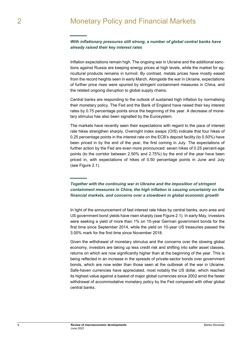## <span id="page-8-0"></span>*With inflationary pressures still strong, a number of global central banks have already raised their key interest rates*

Inflation expectations remain high. The ongoing war in Ukraine and the additional sanctions against Russia are keeping energy prices at high levels, while the market for agricultural products remains in turmoil. By contrast, metals prices have mostly eased from the record heights seen in early March. Alongside the war in Ukraine, expectations of further price rises were spurred by stringent containment measures in China, and the related ongoing disruption to global supply chains.

Central banks are responding to the outlook of sustained high inflation by normalising their monetary policy. The Fed and the Bank of England have raised their key interest rates by 0.75 percentage points since the beginning of the year. A decrease of monetary stimulus has also been signalled by the Eurosystem.

The markets have recently seen their expectations with regard to the pace of interest rate hikes strengthen sharply. Overnight index swaps (OIS) indicate that four hikes of 0.25 percentage points in the interest rate on the ECB's deposit facility (to 0.50%) have been priced in by the end of the year, the first coming in July. The expectations of further action by the Fed are even more pronounced: seven hikes of 0.25 percent-age points (to the corridor between 2.50% and 2.75%) by the end of the year have been priced in, with expectations of hikes of 0.50 percentage points in June and July (see Figure 2.1).

*Together with the continuing war in Ukraine and the imposition of stringent containment measures in China, the high inflation is causing uncertainty on the financial markets, and concerns over a slowdown in global economic growth*

In light of the announcement of fast interest rate hikes by central banks, euro area and US government bond yields have risen sharply (see Figure 2.1). In early May, investors were seeking a yield of more than 1% on 10-year German government bonds for the first time since September 2014, while the yield on 10-year US treasuries passed the 3.00% mark for the first time since November 2018.

Given the withdrawal of monetary stimulus and the concerns over the slowing global economy, investors are taking up less credit risk and shifting into safer asset classes, returns on which are now significantly higher than at the beginning of the year. This is being reflected in an increase in the spreads of private-sector bonds over government bonds, which are now wider than those seen at the outbreak of the war in Ukraine. Safe-haven currencies have appreciated, most notably the US dollar, which reached its highest value against a basket of major global currencies since 2002 amid the faster withdrawal of accommodative monetary policy by the Fed compared with other global central banks.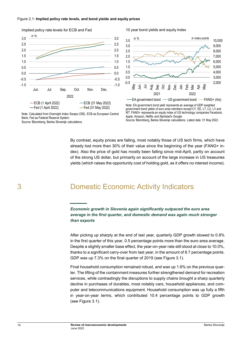

Implied policy rate levels for ECB and Fed

#### Note: Calculated from Overnight Index Swaps (OIS). ECB as European Central Bank, Fed as Federal Reserve System. Source: Bloomberg, Banka Slovenije calculations.

#### 10 year bond yields and equity index



Note: EA government bond yield represents an average of GDP weighted government bond yields of euro area members except CY, EE, LT, LU, LV and MT. FANG+ represents an equity index of US technology companies Facebook, Apple, Amazon, Netflix and Alphabet's Google. Source: Bloomberg, Banka Slovenije calculations. Latest data: 31 May 2022.

By contrast, equity prices are falling, most notably those of US tech firms, which have

already lost more than 30% of their value since the beginning of the year (FANG+ index). Also the price of gold has mostly been falling since mid-April, partly on account of the strong US dollar, but primarily on account of the large increase in US treasuries yields (which raises the opportunity cost of holding gold, as it offers no interest income).

## <span id="page-9-0"></span>3 Domestic Economic Activity Indicators

*Economic growth in Slovenia again significantly outpaced the euro area average in the first quarter, and domestic demand was again much stronger than exports*

After picking up sharply at the end of last year, quarterly GDP growth slowed to 0.8% in the first quarter of this year, 0.5 percentage points more than the euro area average. Despite a slightly smaller base effect, the year-on-year rate still stood at close to 10.0%, thanks to a significant carry-over from last year, in the amount of 8.7 percentage points. GDP was up 7.3% on the final quarter of 2019 (see Figure 3.1).

Final household consumption remained robust, and was up 1.6% on the previous quarter. The lifting of the containment measures further strengthened demand for recreation services, while contrastingly the disruptions to supply chains brought a sharp quarterly decline in purchases of durables, most notably cars, household appliances, and computer and telecommunications equipment. Household consumption was up fully a fifth in year-on-year terms, which contributed 10.4 percentage points to GDP growth (see Figure 3.1).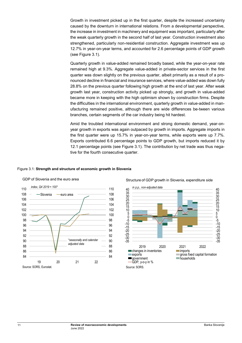Growth in investment picked up in the first quarter, despite the increased uncertainty caused by the downturn in international relations. From a developmental perspective, the increase in investment in machinery and equipment was important, particularly after the weak quarterly growth in the second half of last year. Construction investment also strengthened, particularly non-residential construction. Aggregate investment was up 12.7% in year-on-year terms, and accounted for 2.6 percentage points of GDP growth (see Figure 3.1).

Quarterly growth in value-added remained broadly based, while the year-on-year rate remained high at 9.3%. Aggregate value-added in private-sector services in the first quarter was down slightly on the previous quarter, albeit primarily as a result of a pronounced decline in financial and insurance services, where value-added was down fully 28.8% on the previous quarter following high growth at the end of last year. After weak growth last year, construction activity picked up strongly, and growth in value-added became more in keeping with the high optimism shown by construction firms. Despite the difficulties in the international environment, quarterly growth in value-added in manufacturing remained positive, although there are wide differences be-tween various branches, certain segments of the car industry being hit hardest.

Amid the troubled international environment and strong domestic demand, year-onyear growth in exports was again outpaced by growth in imports. Aggregate imports in the first quarter were up 15.7% in year-on-year terms, while exports were up 7.7%. Exports contributed 6.6 percentage points to GDP growth, but imports reduced it by 12.1 percentage points (see Figure 3.1). The contribution by net trade was thus negative for the fourth consecutive quarter.

### Figure 3.1: **Strength and structure of economic growth in Slovenia**



GDP of Slovenia and the euro area



### Structure of GDP growth in Slovenia, expenditure side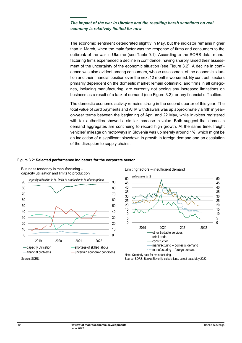## *The impact of the war in Ukraine and the resulting harsh sanctions on real economy is relatively limited for now*

The economic sentiment deteriorated slightly in May, but the indicator remains higher than in March, when the main factor was the response of firms and consumers to the outbreak of the war in Ukraine (see Table 9.1). According to the SORS data, manufacturing firms experienced a decline in confidence, having sharply raised their assessment of the uncertainty of the economic situation (see Figure 3.2). A decline in confidence was also evident among consumers, whose assessment of the economic situation and their financial position over the next 12 months worsened. By contrast, sectors primarily dependent on the domestic market remain optimistic, and firms in all categories, including manufacturing, are currently not seeing any increased limitations on business as a result of a lack of demand (see Figure 3.2), or any financial difficulties.

The domestic economic activity remains strong in the second quarter of this year. The total value of card payments and ATM withdrawals was up approximately a fifth in yearon-year terms between the beginning of April and 22 May, while invoices registered with tax authorities showed a similar increase in value. Both suggest that domestic demand aggregates are continuing to record high growth. At the same time, freight vehicles' mileage on motorways in Slovenia was up merely around 1%, which might be an indication of a significant slowdown in growth in foreign demand and an escalation of the disruption to supply chains.

### Figure 3.2: **Selected performance indicators for the corporate sector**



Business tendency in manufacturing –



Source: SORS.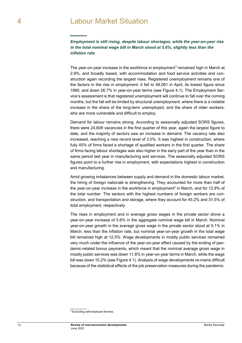<span id="page-12-0"></span>*Employment is still rising, despite labour shortages, while the year-on-year rise in the total nominal wage bill in March stood at 5.6%, slightly less than the inflation rate*

The year-on-year increase in the workforce in employment<sup>[3](#page-12-1)</sup> remained high in March at 2.9%, and broadly based, with accommodation and food service activities and construction again recording the largest rises. Registered unemployment remains one of the factors in the rise in employment: it fell to 58,081 in April, its lowest figure since 1990, and down 26.7% in year-on-year terms (see Figure 4.1). The Employment Service's assessment is that registered unemployment will continue to fall over the coming months, but the fall will be limited by structural unemployment, where there is a notable increase in the share of the long-term unemployed, and the share of older workers, who are more vulnerable and difficult to employ.

Demand for labour remains strong. According to seasonally adjusted SORS figures, there were 24,609 vacancies in the first quarter of this year, again the largest figure to date, and the majority of sectors saw an increase in demand. The vacancy rate also increased, reaching a new record level of 3.0%. It was highest in construction, where fully 45% of firms faced a shortage of qualified workers in the first quarter. The share of firms facing labour shortages was also higher in the early part of the year than in the same period last year in manufacturing and services. The seasonally adjusted SORS figures point to a further rise in employment, with expectations highest in construction and manufacturing.

Amid growing imbalances between supply and demand in the domestic labour market, the hiring of foreign nationals is strengthening. They accounted for more than half of the year-on-year increase in the workforce in employment<sup>3</sup> in March, and for 12.9% of the total number. The sectors with the highest numbers of foreign workers are construction, and transportation and storage, where they account for 45.2% and 31.5% of total employment, respectively.

The rises in employment and in average gross wages in the private sector drove a year-on-year increase of 5.6% in the aggregate nominal wage bill in March. Nominal year-on-year growth in the average gross wage in the private sector stood at 5.1% in March, less than the inflation rate, but nominal year-on-year growth in the total wage bill remained high at 12.5%. Wage developments in mostly public services remained very much under the influence of the year-on-year effect caused by the ending of pandemic-related bonus payments, which meant that the nominal average gross wage in mostly public services was down 11.8% in year-on-year terms in March, while the wage bill was down 10.2% (see Figure 4.1). Analysis of wage developments re-mains difficult because of the statistical effects of the job preservation measures during the pandemic.

<span id="page-12-1"></span><sup>3</sup> Excluding self-employed farmers.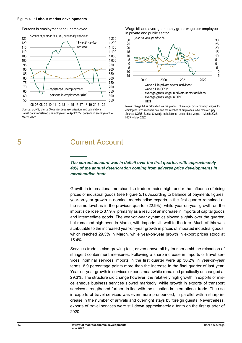#### Figure 4.1: **Labour market developments**

### Persons in employment and unemployed



<span id="page-13-0"></span>06 07 08 09 10 11 12 13 14 15 16 17 18 19 20 21 22 Source: SORS, Banka Slovenije deseasonalisation and calculations. Latest data: registered unemployment - April 2022, persons in employment -March 2022

## 5 Current Account

## *The current account was in deficit over the first quarter, with approximately 40% of the annual deterioration coming from adverse price developments in merchandise trade*

 $\frac{5}{25}$ 30

*year-on-year growth in %*

in private and public sector

Growth in international merchandise trade remains high, under the influence of rising prices of industrial goods (see Figure 5.1). According to balance of payments figures, year-on-year growth in nominal merchandise exports in the first quarter remained at the same level as in the previous quarter (22.9%), while year-on-year growth on the import side rose to 37.9%, primarily as a result of an increase in imports of capital goods and intermediate goods. The year-on-year dynamics slowed slightly over the quarter, but remained high even in March, with imports still well to the fore. Much of this was attributable to the increased year-on-year growth in prices of imported industrial goods, which reached 29.3% in March, while year-on-year growth in export prices stood at 15.4%.

Services trade is also growing fast, driven above all by tourism amid the relaxation of stringent containment measures. Following a sharp increase in imports of travel services, nominal services imports in the first quarter were up 36.2% in year-on-year terms, 8.9 percentage points more than the increase in the final quarter of last year. Year-on-year growth in services exports meanwhile remained practically unchanged at 29.3%. The structure did change however: the relatively high growth in exports of miscellaneous business services slowed markedly, while growth in exports of transport services strengthened further, in line with the situation in international trade. The rise in exports of travel services was even more pronounced, in parallel with a sharp increase in the number of arrivals and overnight stays by foreign guests. Nevertheless, exports of travel services were still down approximately a tenth on the first quarter of 2020.

 $\frac{25}{25}$ 30



Wage bill and average monthly gross wage per employee

Notes: \*Wage bill is calculated as the product of average gross monthly wages for employees who received pay and the number of employees who received pay. Source: SORS, Banka Slovenije calculations. Latest data: wages – March 2022, HICP – May 2022.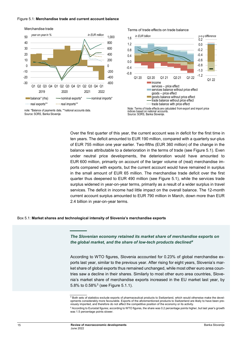#### Figure 5.1: **Merchandise trade and current account balance**



note: \*Balance of payments data, \*\*national accounts data. Source: SORS, Banka Slovenije.

Terms of trade effects on trade balance



Note: Terms of trade effects are calculated from export and import price<br>indices based on national accounts indices based on national accounts. Source: SORS, Banka Slovenije.

Over the first quarter of this year, the current account was in deficit for the first time in ten years. The deficit amounted to EUR 190 million, compared with a quarterly sur-plus of EUR 755 million one year earlier. Two-fifths (EUR 360 million) of the change in the balance was attributable to a deterioration in the terms of trade (see Figure 5.1). Even under neutral price developments, the deterioration would have amounted to EUR 600 million, primarily on account of the larger volume of (real) merchandise imports compared with exports, but the current account would have remained in surplus in the small amount of EUR 65 million. The merchandise trade deficit over the first quarter thus deepened to EUR 490 million (see Figure 5.1), while the services trade surplus widened in year-on-year terms, primarily as a result of a wider surplus in travel services. The deficit in income had little impact on the overall balance. The 12-month current account surplus amounted to EUR 790 million in March, down more than EUR 2.4 billion in year-on-year terms.

#### Box 5.1: **Market shares and technological intensity of Slovenia's merchandise exports**

*The Slovenian economy retained its market share of merchandise exports on the global market, and the share of low-tech products declined[4](#page-14-0)*

According to WTO figures, Slovenia accounted for 0.23% of global merchandise exports last year, similar to the previous year. After rising for eight years, Slovenia's market share of global exports thus remained unchanged, while most other euro area countries saw a decline in their shares. Similarly to most other euro area countries, Slovenia's market share of merchandise exports increased in the EU market last year, by [5](#page-14-1).8% to  $0.58\%$ <sup>5</sup> (see Figure 5.1.1).

<span id="page-14-0"></span><sup>4</sup> Both sets of statistics exclude exports of pharmaceutical products to Switzerland, which would otherwise make the developments considerably more favourable. Exports of the aforementioned products to Switzerland are likely to have been previously imported, and therefore do not affect the competitive position of the economy or its activity.

<span id="page-14-1"></span><sup>5</sup> According to Eurostat figures; according to WTO figures, the share was 0.2 percentage points higher, but last year's growth was 1.5 percentage points slower.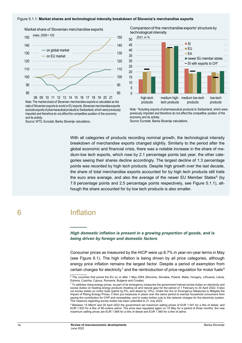#### Figure 5.1.1: **Market shares and technological intensity breakdown of Slovenia's merchandise exports**



Market share of Slovenian merchandise exports

Note: The market share of Slovenian merchandise exports is calculated as the ratio of Slovenian exports to world or EU exports. Slovenian merchandise exports exclude exports of pharmaceutical products to Switzerland, which were previously imported and therefore do not affect the competitive position of the economy and its activity

Source: WTO, Eurostat, Banka Slovenije calculations.

Comparison of the merchandise exports' structure by technological intensity



Note: \*Including exports of pharmaceutical products to Switzerland, which were previously imported and therefore do not affect the competitive position of the economy and its activity.

Source: Eurostat, Banka Slovenije calculations.

With all categories of products recording nominal growth, the technological intensity breakdown of merchandise exports changed slightly. Similarly to the period after the global economic and financial crisis, there was a notable increase in the share of medium-low tech exports, which rose by 2.1 percentage points last year, the other categories seeing their shares decline accordingly. The largest decline of 1.3 percentage points was recorded by high tech products. Despite high growth over the last decade, the share of total merchandise exports accounted for by high tech products still trails the euro area average, and also the average of the newer EU Member States $<sup>6</sup>$  $<sup>6</sup>$  $<sup>6</sup>$  (by</sup> 7.6 percentage points and 2.5 percentage points respectively, see Figure 5.1.1), although the share accounted for by low tech products is also smaller.

<span id="page-15-1"></span>

## <span id="page-15-0"></span>6 Inflation

## *High domestic inflation is present in a growing proportion of goods, and is being driven by foreign and domestic factors*

Consumer prices as measured by the HICP were up 8.7% in year-on-year terms in May (see Figure 6.1). The high inflation is being driven by all price categories, although energy price inflation remains the largest factor. Despite a period of exemption from certain charges for electricity<sup>[7](#page-15-2)</sup> and the reintroduction of price regulation for motor fuels<sup>[8](#page-15-3)</sup>

<sup>&</sup>lt;sup>6</sup> The countries that joined the EU on or after 1 May 2004 (Slovenia, Slovakia, Poland, Malta, Hungary, Lithuania, Latvia, Estonia, Czechia, Cyprus, Romania, Bulgaria and Croatia).

<span id="page-15-2"></span> $7$  To address rising energy prices, as part of its emergency measures the government halved excise duties on electricity and excise duties on heating energy products (heating oil and natural gas) for the period of 1 February to 30 April 2022. It also cut excise duties on motor fuels (petrol by 5%, and diesel by 15%). Under the Act on Emergency Measures to Mitigate the Impact of Rising Energy Prices, it then put measures in place over the same period to exempt household consumers from paying the contribution for CHP and renewables, and to make further cuts to the network charges for the electricity system. The measure regarding excise duties has been extended to 31 July 2022.

<span id="page-15-3"></span><sup>8</sup> Between 15 March and 30 April 2022 the government set maximum selling prices of EUR 1.541 for a litre of diesel, and EUR 1.503 for a litre of 95-octane petrol. The price was regulated again on 10 May for a period of three months: the new maximum selling prices are EUR 1.668 for a litre of diesel and EUR 1.560 for a litre of petrol.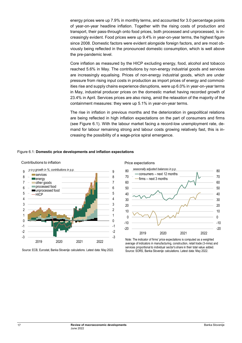energy prices were up 7.9% in monthly terms, and accounted for 3.0 percentage points of year-on-year headline inflation. Together with the rising costs of production and transport, their pass-through onto food prices, both processed and unprocessed, is increasingly evident. Food prices were up 9.4% in year-on-year terms, the highest figure since 2008. Domestic factors were evident alongside foreign factors, and are most obviously being reflected in the pronounced domestic consumption, which is well above the pre-pandemic level.

Core inflation as measured by the HICP excluding energy, food, alcohol and tobacco reached 5.6% in May. The contributions by non-energy industrial goods and services are increasingly equalising. Prices of non-energy industrial goods, which are under pressure from rising input costs in production as import prices of energy and commodities rise and supply chains experience disruptions, were up 6.0% in year-on-year terms in May, industrial producer prices on the domestic market having recorded growth of 23.4% in April. Services prices are also rising, amid the relaxation of the majority of the containment measures: they were up 5.1% in year-on-year terms.

The rise in inflation in previous months and the deterioration in geopolitical relations are being reflected in high inflation expectations on the part of consumers and firms (see Figure 6.1). With the labour market facing a record-low unemployment rate, demand for labour remaining strong and labour costs growing relatively fast, this is increasing the possibility of a wage-price spiral emergence.

## Figure 6.1: **Domestic price developments and inflation expectations**



Source: ECB, Eurostat, Banka Slovenije calculations. Latest data: May 2022.





Note: The indicator of firms' price expectations is computed as a weighted average of indicators in manufacturing, construction, retail trade (3-mma) and services proportional to individual sector's share in their total value added. Source: SORS, Banka Slovenije calculations. Latest data: May 2022.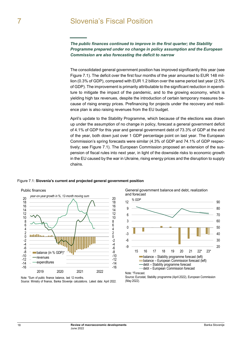## <span id="page-17-0"></span>7 Slovenia's Fiscal Position

*The public finances continued to improve in the first quarter; the Stability Programme prepared under no change in policy assumption and the European Commission are also forecasting the deficit to narrow*

The consolidated general government position has improved significantly this year (see Figure 7.1). The deficit over the first four months of the year amounted to EUR 148 million (0.3% of GDP), compared with EUR 1.2 billion over the same period last year (2.5% of GDP). The improvement is primarily attributable to the significant reduction in ependiture to mitigate the impact of the pandemic, and to the growing economy, which is yielding high tax revenues, despite the introduction of certain temporary measures because of rising energy prices. Prefinancing for projects under the recovery and resilience plan is also raising revenues from the EU budget.

April's update to the Stability Programme, which because of the elections was drawn up under the assumption of no change in policy, forecast a general government deficit of 4.1% of GDP for this year and general government debt of 73.3% of GDP at the end of the year, both down just over 1 GDP percentage point on last year. The European Commission's spring forecasts were similar (4.3% of GDP and 74.1% of GDP respectively; see Figure 7.1). The European Commission proposed an extension of the suspension of fiscal rules into next year, in light of the downside risks to economic growth in the EU caused by the war in Ukraine, rising energy prices and the disruption to supply chains.

### Figure 7.1: **Slovenia's current and projected general government position**



Note: \*Sum of public finance balance, last 12 months. Source: Ministry of finance, Banka Slovenije calculations. Latest data: April 2022. General government balance and debt, realization and forecast



Note: \*Forecast.

Source: Eurostat, Stability programme (April 2022), European Commission (May 2022).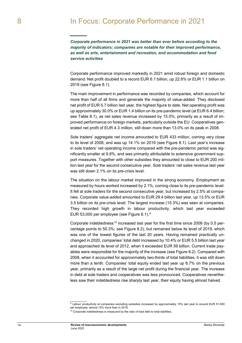## <span id="page-18-0"></span>*Corporate performance in 2021 was better than ever before according to the majority of indicators; companies are notable for their improved performance, as well as arts, entertainment and recreation, and accommodation and food service activities*

Corporate performance improved markedly in 2021 amid robust foreign and domestic demand. Net profit doubled to a record EUR 6.1 billion, up 22.6% or EUR 1.1 billion on 2019 (see Figure 8.1).

The main improvement in performance was recorded by companies, which account for more than half of all firms and generate the majority of value-added. They disclosed net profit of EUR 5.7 billion last year, the highest figure to date. Net operating profit was up approximately 30.0% or EUR 1.4 billion on its pre-pandemic level (at EUR 6.4 billion; see Table 8.1), as net sales revenue increased by 15.0%, primarily as a result of improved performance on foreign markets, particularly outside the EU. Cooperatives generated net profit of EUR 4.3 million, still down more than 13.0% on its peak in 2008.

Sole traders' aggregate net income amounted to EUR 433 million, coming very close to its level of 2008, and was up 14.1% on 2019 (see Figure 8.1). Last year's increase in sole traders' net operating income compared with the pre-pandemic period was significantly smaller at 9.8%, and was primarily attributable to extensive government support measures. Together with other subsidies they amounted to close to EUR 200 million last year for the second consecutive year. Sole traders' net sales revenue last year was still down 2.1% on its pre-crisis level.

The situation on the labour market improved in the strong economy. Employment as measured by hours worked increased by 2.1%, coming close to its pre-pandemic level. It fell at sole traders for the second consecutive year, but increased by 2.5% at companies. Corporate value-added amounted to EUR 29.4 billion last year, up 13.5% or EUR 3.5 billion on its pre-crisis level. The largest increase (15.3%) was seen at companies. They recorded high growth in labour productivity, which last year exceeded EUR 53,000 per employee (see Figure 8.1).[9](#page-18-1)

Corporate indebtedness<sup>[10](#page-18-2)</sup> increased last year for the first time since 2008 (by 0.5 percentage points to 50.3%; see Figure 8.2), but remained below its level of 2019, which was one of the lowest figures of the last 20 years. Having remained practically unchanged in 2020, companies' total debt increased by 10.4% or EUR 5.5 billion last year and approached its level of 2012, when it exceeded EUR 59 billion. Current trade payables were responsible for the majority of the increase (see Figure 8.2). Compared with 2008, when it accounted for approximately two-thirds of total liabilities, it was still down more than a tenth. Companies' total equity ended last year up 8.7% on the previous year, primarily as a result of the large net profit during the financial year. The increase in debt at sole traders and cooperatives was less pronounced. Cooperatives nevertheless saw their indebtedness rise sharply last year, their equity having almost halved.

<sup>9</sup> Labour productivity at companies excluding subsidies increased by approximately 15% last year to around EUR 51,000 per employee, almost 12% more than in 2019.

<span id="page-18-2"></span><span id="page-18-1"></span> $10$  Corporate indebtedness is measured by the ratio of total debt to total liabilities.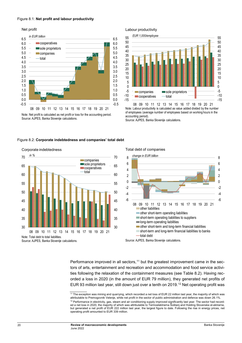#### Figure 8.1: **Net profit and labour productivity**

Net profit



Note: Net profit is calculated as net profit or loss for the accounting period. Source: AJPES, Banka Slovenije calculations.

### Labour productivity



Note: Labour productivity is calculated as value added divided by the number of employees (average number of employees based on working hours in the accounting period).

Source: AJPES, Banka Slovenije calculations.

#### Figure 8.2: **Corporate indebtedness and companies' total debt**



#### Corporate indebtedness

Total debt of companies



Source: AJPES, Banka Slovenije calculations.

Performance improved in all sectors,  $11$  but the greatest improvement came in the sectors of arts, entertainment and recreation and accommodation and food service activities following the relaxation of the containment measures (see Table 8.2). Having recorded a loss in 2020 (in the amount of EUR 79 million), they generated net profits of EUR 93 million last year, still down just over a tenth on 2019.<sup>[12](#page-19-1)</sup> Net operating profit was

<span id="page-19-1"></span><span id="page-19-0"></span><sup>&</sup>lt;sup>11</sup> The exception was mining and quarrying, which recorded a net loss of EUR 22 million last year, the majority of which was attributable to Premogovnik Velenje, while net profit in the sector of public administration and defence was down 26.1%.  $12$  Performance in electricity, gas, steam and air conditioning supply improved significantly last year. The sector had recorded a net loss in 2020, the majority of which was attributable to Termoelektrarna Šoštanj and Holding Slovenske el-ektrarne, but generated a net profit of EUR 222 million last year, the largest figure to date. Following the rise in energy prices, net operating profit amounted to EUR 339 million.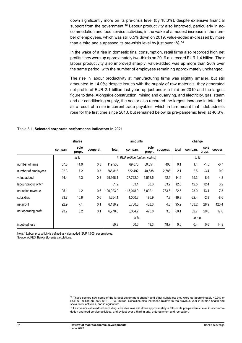down significantly more on its pre-crisis level (by 18.3%), despite extensive financial support from the government.<sup>[13](#page-20-0)</sup> Labour productivity also improved, particularly in accommodation and food service activities; in the wake of a modest increase in the number of employees, which was still 6.5% down on 2019, value-added in-creased by more than a third and surpassed its pre-crisis level by just over  $1\%$ .<sup>[14](#page-20-1)</sup>

In the wake of a rise in domestic final consumption, retail firms also recorded high net profits: they were up approximately two-thirds on 2019 at a record EUR 1.4 billion. Their labour productivity also improved sharply: value-added was up more than 20% over the same period, with the number of employees remaining approximately unchanged.

The rise in labour productivity at manufacturing firms was slightly smaller, but still amounted to 14.0%; despite issues with the supply of raw materials, they generated net profits of EUR 2.1 billion last year, up just under a third on 2019 and the largest figure to date. Alongside construction, mining and quarrying, and electricity, gas, steam and air conditioning supply, the sector also recorded the largest increase in total debt as a result of a rise in current trade payables, which in turn meant that indebtedness rose for the first time since 2010, but remained below its pre-pandemic level at 46.8%.

### Table 8.1: **Selected corporate performance indicators in 2021**

|                      | shares  |                |           |           | amounts                        |                | change    |         |           |                |         |
|----------------------|---------|----------------|-----------|-----------|--------------------------------|----------------|-----------|---------|-----------|----------------|---------|
|                      | compan. | sole<br>propr. | cooperat. | total     | compan.                        | sole<br>propr. | cooperat. | total   | compan.   | sole<br>propr. | cooper. |
|                      |         | in $%$         |           |           | in EUR million (unless stated) |                |           |         | in $%$    |                |         |
| number of firms      | 57.8    | 41.9           | 0.3       | 119,538   | 69,076                         | 50,054         | 408       | 0.1     | 1.4       | $-1.5$         | $-0.7$  |
| number of employees  | 92.3    | 7.2            | 0.5       | 565,816   | 522,492                        | 40,538         | 2,786     | 2.1     | 2.5       | $-3.4$         | 0.9     |
| value added          | 94.4    | 5.3            | 0.3       | 29,368.1  | 27,722.0                       | 1,553.5        | 92.6      | 14.9    | 15.3      | 8.6            | 4.2     |
| labour productivity* |         |                |           | 51.9      | 53.1                           | 38.3           | 33.2      | 12.6    | 12.5      | 12.4           | 3.2     |
| net sales revenue    | 95.1    | 4.2            | 0.6       | 120.923.9 | 115,048.0                      | 5,092.1        | 783.8     | 22.5    | 23.0      | 13.4           | 7.3     |
| subsidies            | 83.7    | 15.6           | 0.6       | 1,254.1   | 1,050.3                        | 195.9          | 7.9       | $-19.8$ | $-22.4$   | $-2.3$         | $-8.6$  |
| net profit           | 92.9    | 7.1            | 0.1       | 6,138.2   | 5,700.6                        | 433.3          | 4.3       | 95.2    | 103.2     | 28.9           | 123.4   |
| net operating profit | 93.7    | 6.2            | 0.1       | 6,778.6   | 6,354.2                        | 420.8          | 3.6       | 60.1    | 62.7      | 29.6           | 17.6    |
|                      |         |                |           | in $%$    |                                |                |           |         | in $p.p.$ |                |         |
| indebtedness         |         |                |           | 50.3      | 50.5                           | 43.3           | 48.7      | 0.5     | 0.4       | 0.6            | 14.8    |

Note: \* Labour productivity is defined as value-added (EUR 1,000) per employee.

<span id="page-20-0"></span>Source. AJPES, Banka Slovenije calculations.

<sup>&</sup>lt;sup>13</sup> These sectors saw some of the largest government support and other subsidies; they were up approximately 40.0% or EUR 63 million on 2020 at EUR 230 million. Subsidies also increased relative to the previous year in human health and social work activities, and in agriculture.

<span id="page-20-1"></span><sup>&</sup>lt;sup>14</sup> Last year's value-added excluding subsidies was still down approximately a fifth on its pre-pandemic level in accommodation and food service activities, and by just over a third in arts, entertainment and recreation.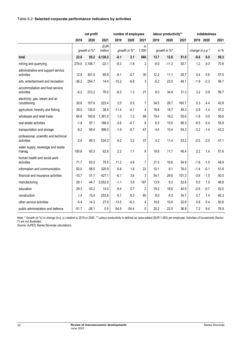## Table 8.2: **Selected corporate performance indicators by activities**

|                                                      | net profit   |                  |                       | number of employees |         |             |              | labour productivity** |       | indebtedness    |           |        |
|------------------------------------------------------|--------------|------------------|-----------------------|---------------------|---------|-------------|--------------|-----------------------|-------|-----------------|-----------|--------|
|                                                      | 2019         | 2020             | 2021                  | 2019                | 2020    | 2021        | 2019         | 2020                  | 2021  |                 | 2019 2020 | 2021   |
|                                                      | growth in %* |                  | <b>EUR</b><br>million | growth in %*        |         | in<br>1,000 | growth in %* |                       |       | change in p.p.* |           | in $%$ |
| total                                                | 22.6         | 95.2             | 6,138.2               | $-0.1$              | 2.1     | 566         | 13.7         | 12.6                  | 51.9  | $-0.6$          | 0.5       | 50.3   |
| mining and quarrying                                 |              | $-274.0$ 3,106.7 | $-22.1$               | $-8.3$              | $-1.8$  | 2           | $-9.0$       | $-11.3$               | 50.7  | 1.2             | 9.3       | 70.8   |
| administrative and support service<br>activities     | 12.8         | 301.5            | 85.9                  | $-8.1$              | $-0.7$  | 30          | 12.2         | 11.1                  | 29.7  | 0.4             | 0.6       | 57.5   |
| arts, entertainment and recreation                   | $-36.2$      | 254.7            | 14.4                  | $-15.2$             | $-6.8$  | 3           | $-5.2$       | 23.0                  | 46.1  | $-1.9$          | $-2.3$    | 56.7   |
| accommodation and food service<br>activities         | $-6.2$       | 212.2            | 78.5                  | $-6.5$              | 1.3     | 27          | 8.3          | 34.9                  | 31.3  | 3.2             | 0.9       | 56.7   |
| electricity, gas, steam and air<br>conditioning      | 30.6         | 157.9            | 222.4                 | 2.5                 | 0.5     | 7           | 34.5         | 28.7                  | 160.7 | 5.3             | 4.4       | 42.9   |
| agriculture, forestry and fishing                    | 39.0         | 135.0            | 38.4                  | $-11.4$             | $-4.1$  | 4           | 19.8         | 19.7                  | 49.3  | $-2.8$          | $-1.4$    | 47.2   |
| wholesale and retail trade                           | 64.6         | 100.8            | 1,391.0               | 1.0                 | 1.2     | 99          | 19.4         | 18.2                  | 55.6  | $-1.8$          | 0.0       | 56.6   |
| real estate activities                               | $-1.8$       | 97.1             | 166.0                 | $-3.6$              | $-0.7$  | 6           | 6.5          | 15.5                  | 99.3  | $-0.5$          | 0.4       | 55.9   |
| transportation and storage                           | $-9.2$       | 69.4             | 396.0                 | $-1.9$              | $-0.7$  | 47          | 4.4          | 10.4                  | 54.3  | $-3.2$          | $-1.4$    | 43.2   |
| professional, scientific and technical<br>activities | $-2.6$       | 69.3             | 534.3                 | 6.2                 | 3.2     | 37          | 4.2          | 11.4                  | 53.2  | $-2.5$          | $-2.0$    | 47.1   |
| water supply, sewerage and waste<br>manag.           | 100.6        | 65.3             | 62.8                  | 2.2                 | 1.1     | 9           | 19.8         | 11.7                  | 46.4  | 2.2             | 1.4       | 51.6   |
| human health and social work<br>activities           | 71.7         | 63.0             | 76.5                  | 11.2                | 4.8     | 7           | 21.3         | 16.6                  | 54.9  | $-1.6$          | $-1.0$    | 48.9   |
| information and communication                        | 92.0         | 56.5             | 320.9                 | 6.8                 | 1.8     | 23          | 10.1         | 8.1                   | 76.0  | $-1.4$          | $-0.1$    | 51.6   |
| financial and insurance activities                   | $-10.7$      | 51.7             | 427.1                 | $-6.1$              | 3.6     | 3           | 54.1         | 29.5                  | 101.3 | $-3.8$          | $-1.5$    | 50.5   |
| manufacturing                                        | 28.1         | 44.7             | 2,052.0               | $-1.1$              | 3.0     | 197         | 13.9         | 9.3                   | 52.6  | 0.0             | 1.5       | 46.8   |
| education                                            | 29.3         | 43.2             | 14.0                  | $-5.4$              | 0.7     | 2           | 19.2         | 18.8                  | 40.5  | $-2.6$          | $-0.7$    | 52.0   |
| construction                                         | 1.4          | 15.4             | 253.6                 | 6.7                 | 6.3     | 60          | 9.0          | 6.3                   | 34.7  | 0.7             | 1.4       | 60.3   |
| other service activities                             | $-5.4$       | 14.3             | 27.9                  | $-13.5$             | $-6.3$  | 4           | 10.6         | 10.9                  | 32.6  | 0.8             | 0.4       | 50.6   |
| public administration and defence                    | $-51.7$      | $-26.1$          | 0.5                   | $-54.9$             | $-54.4$ | 0           | 20.2         | 22.5                  | 36.8  | 7.2             | 9.4       | 76.9   |

Note: \* Growth (in %) or change (in p. p.) relative to 2019 or 2020. \*\* Labour productivity is defined as value-added (EUR 1,000) per employee. Activities of households (Sector T) are not illustrated.

Source: AJPES, Banka Slovenije calculations.